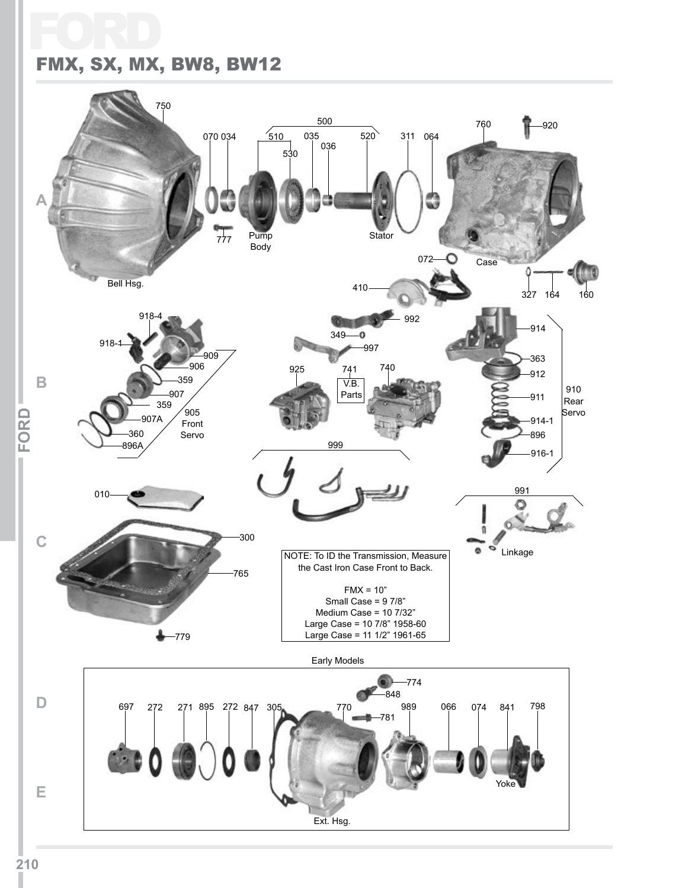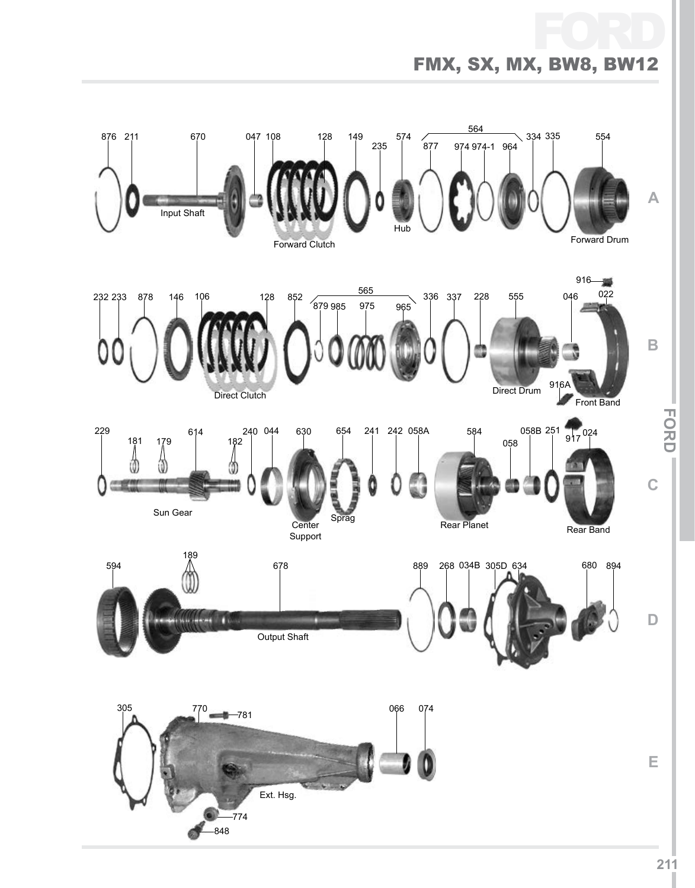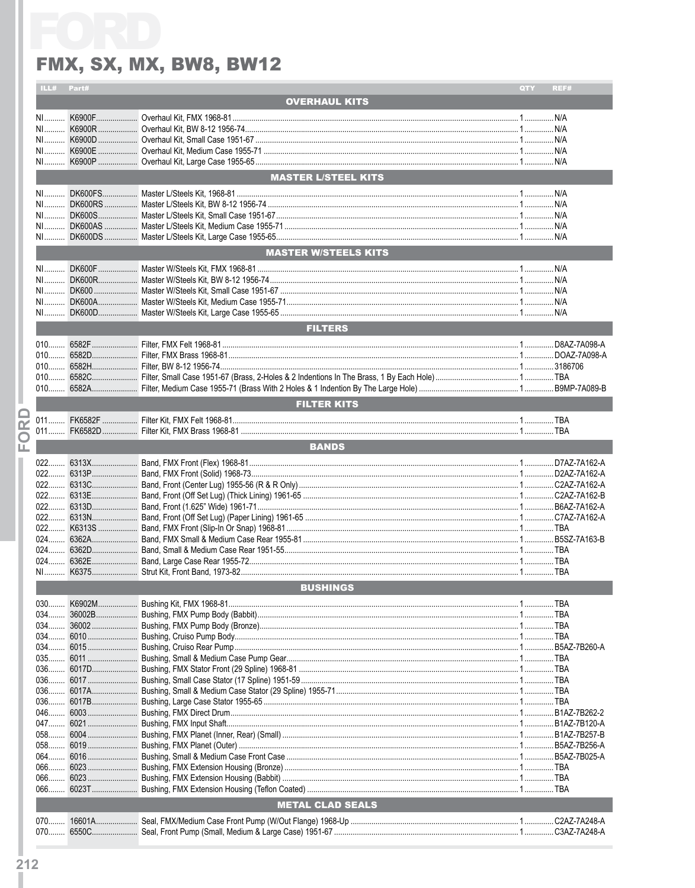|              | ILL#                    | Part# |                                                                     | QTY | REF# |
|--------------|-------------------------|-------|---------------------------------------------------------------------|-----|------|
|              |                         |       | <b>OVERHAUL KITS</b>                                                |     |      |
|              |                         |       |                                                                     |     |      |
|              | NI                      |       |                                                                     |     |      |
|              |                         |       |                                                                     |     |      |
|              |                         |       |                                                                     |     |      |
|              |                         |       |                                                                     |     |      |
|              |                         |       |                                                                     |     |      |
|              |                         |       | MASTER L/STEEL KITS <b>And Line Control Control Control Control</b> |     |      |
|              |                         |       |                                                                     |     |      |
|              |                         |       |                                                                     |     |      |
|              |                         |       |                                                                     |     |      |
|              |                         |       |                                                                     |     |      |
|              |                         |       |                                                                     |     |      |
|              |                         |       |                                                                     |     |      |
|              |                         |       | <b>MASTER W/STEELS KITS</b>                                         |     |      |
|              |                         |       |                                                                     |     |      |
|              |                         |       |                                                                     |     |      |
|              |                         |       |                                                                     |     |      |
|              |                         |       |                                                                     |     |      |
|              |                         |       |                                                                     |     |      |
|              |                         |       |                                                                     |     |      |
|              |                         |       | <b>FILTERS</b>                                                      |     |      |
|              |                         |       |                                                                     |     |      |
|              |                         |       |                                                                     |     |      |
|              |                         |       |                                                                     |     |      |
|              |                         |       |                                                                     |     |      |
|              |                         |       |                                                                     |     |      |
|              |                         |       |                                                                     |     |      |
|              |                         |       |                                                                     |     |      |
|              |                         |       | <b>FILTER KITS</b>                                                  |     |      |
| $\mathbf{S}$ |                         |       |                                                                     |     |      |
|              |                         |       |                                                                     |     |      |
| $\bigcirc$   |                         |       | <b>BANDS</b>                                                        |     |      |
| ய            |                         |       |                                                                     |     |      |
|              |                         |       |                                                                     |     |      |
|              |                         |       |                                                                     |     |      |
|              |                         |       |                                                                     |     |      |
|              |                         |       |                                                                     |     |      |
|              |                         |       |                                                                     |     |      |
|              |                         |       |                                                                     |     |      |
|              |                         |       |                                                                     |     |      |
|              |                         |       |                                                                     |     |      |
|              |                         |       |                                                                     |     |      |
|              |                         |       |                                                                     |     |      |
|              |                         |       |                                                                     |     |      |
|              |                         |       |                                                                     |     |      |
|              |                         |       | <b>BUSHINGS</b>                                                     |     |      |
|              | $030$                   |       |                                                                     |     |      |
|              |                         |       |                                                                     |     |      |
|              |                         |       |                                                                     |     |      |
|              |                         |       |                                                                     |     |      |
|              |                         |       |                                                                     |     |      |
|              |                         |       |                                                                     |     |      |
|              |                         |       |                                                                     |     |      |
|              |                         |       |                                                                     |     |      |
|              |                         |       |                                                                     |     |      |
|              |                         |       |                                                                     |     |      |
|              |                         |       |                                                                     |     |      |
|              |                         |       |                                                                     |     |      |
|              |                         |       |                                                                     |     |      |
|              |                         |       |                                                                     |     |      |
|              |                         |       |                                                                     |     |      |
|              |                         |       |                                                                     |     |      |
|              |                         |       |                                                                     |     |      |
|              |                         |       |                                                                     |     |      |
|              |                         |       |                                                                     |     |      |
|              | <b>METAL CLAD SEALS</b> |       |                                                                     |     |      |
|              |                         |       |                                                                     |     |      |
|              |                         |       |                                                                     |     |      |
|              |                         |       |                                                                     |     |      |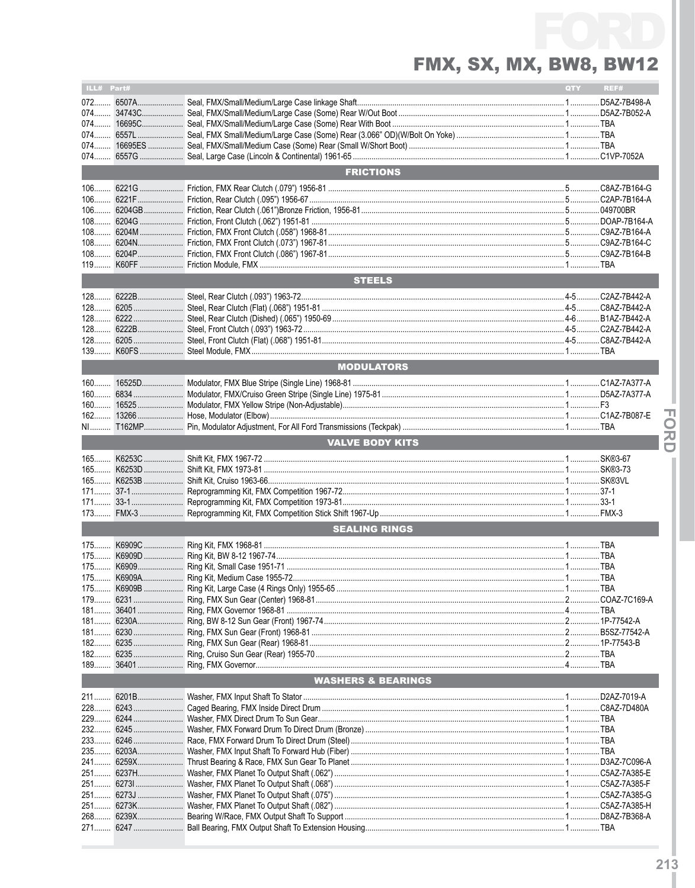| ILL# Part# |           |                               | QTY | REF#        |
|------------|-----------|-------------------------------|-----|-------------|
|            |           |                               |     |             |
|            | 072 6507A |                               |     |             |
|            |           |                               |     |             |
|            |           |                               |     |             |
| 074        |           |                               |     |             |
|            |           |                               |     |             |
|            |           |                               |     |             |
|            |           | <b>FRICTIONS</b>              |     |             |
|            |           |                               |     |             |
|            |           |                               |     |             |
|            |           |                               |     |             |
|            |           |                               |     |             |
|            |           |                               |     |             |
|            |           |                               |     |             |
| $108$      |           |                               |     |             |
| $119$      |           |                               |     |             |
|            |           | <b>STEELS</b>                 |     |             |
|            |           |                               |     |             |
|            |           |                               |     |             |
|            |           |                               |     |             |
| $128$      |           |                               |     |             |
| $128$      |           |                               |     |             |
| $128$      |           |                               |     |             |
|            |           |                               |     |             |
|            |           | <b>MODULATORS</b>             |     |             |
| $160$      |           |                               |     |             |
| $160$      |           |                               |     |             |
|            |           |                               |     |             |
|            |           |                               |     |             |
|            |           |                               |     |             |
|            |           | <b>VALVE BODY KITS</b>        |     |             |
|            |           |                               |     |             |
|            |           |                               |     |             |
|            |           |                               |     |             |
|            |           |                               |     |             |
|            |           |                               |     |             |
| $173$      |           |                               |     |             |
|            |           |                               |     |             |
|            |           | <b>SEALING RINGS</b>          |     |             |
|            |           |                               |     |             |
|            |           |                               |     |             |
|            |           |                               |     |             |
|            |           |                               |     |             |
|            |           |                               |     |             |
|            |           |                               |     |             |
|            |           |                               |     |             |
|            |           |                               |     |             |
|            |           |                               |     |             |
|            |           |                               |     |             |
|            |           |                               |     |             |
|            |           |                               |     |             |
|            |           | <b>WASHERS &amp; BEARINGS</b> |     |             |
|            |           |                               |     | D2AZ-7019-A |
| $228$      |           |                               |     | C8AZ-7D480A |
|            |           |                               |     |             |
|            |           |                               |     |             |
| 233        |           |                               |     |             |
|            |           |                               |     |             |
|            |           |                               |     |             |
|            |           |                               |     |             |
|            |           |                               |     |             |
|            |           |                               |     |             |
|            |           |                               |     |             |
| 268        |           |                               |     |             |
|            |           |                               |     |             |

**FORD**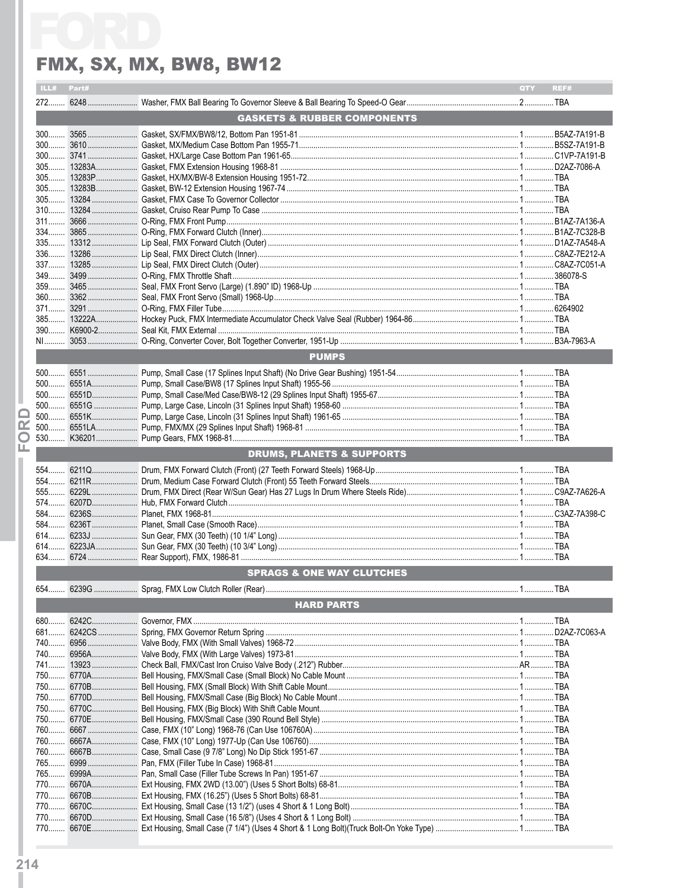| ILL#        | Part# |                                                | QTY<br>REF# |
|-------------|-------|------------------------------------------------|-------------|
|             |       |                                                |             |
|             |       | <b>GASKETS &amp; RUBBER COMPONENTS</b>         |             |
|             |       |                                                |             |
|             |       |                                                |             |
|             |       |                                                |             |
|             |       |                                                |             |
|             |       |                                                |             |
|             |       |                                                |             |
|             |       |                                                |             |
|             |       |                                                |             |
|             |       |                                                |             |
|             |       |                                                |             |
|             |       |                                                |             |
|             |       |                                                |             |
|             |       |                                                |             |
|             |       |                                                |             |
|             |       |                                                |             |
|             |       |                                                |             |
|             |       |                                                |             |
|             |       |                                                |             |
|             |       |                                                |             |
|             |       |                                                |             |
|             |       | <b>PUMPS</b>                                   |             |
|             |       |                                                |             |
|             |       |                                                |             |
|             |       |                                                |             |
|             |       |                                                |             |
| œ           |       |                                                |             |
|             |       |                                                |             |
| $\Box$<br>ய |       |                                                |             |
|             |       | <b>DRUMS, PLANETS &amp; SUPPORTS</b>           |             |
|             |       |                                                |             |
|             |       |                                                |             |
|             |       |                                                |             |
|             |       |                                                |             |
|             |       |                                                |             |
|             |       |                                                |             |
|             |       |                                                |             |
|             |       |                                                |             |
|             |       |                                                |             |
|             |       |                                                |             |
|             |       | <b>SPRAGS &amp; ONE WAY CLUTCHES</b>           |             |
|             |       | 654 6239G  Sprag, FMX Low Clutch Roller (Rear) | 1  TBA      |
|             |       | <b>HARD PARTS</b>                              |             |
|             |       |                                                |             |
| $680$       |       |                                                |             |
| 681         |       |                                                |             |
|             |       |                                                |             |
|             |       |                                                |             |
|             |       |                                                |             |
|             |       |                                                |             |
|             |       |                                                |             |
|             |       |                                                |             |
|             |       |                                                |             |
|             |       |                                                |             |
|             |       |                                                |             |
|             |       |                                                |             |
| 765         |       |                                                |             |
|             |       |                                                |             |
|             |       |                                                |             |
|             |       |                                                |             |
|             |       |                                                |             |
|             |       |                                                |             |